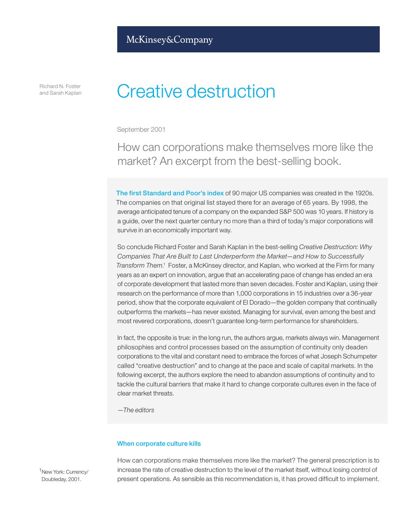# McKinsey&Company

Richard N. Foster and Sarah Kaplan

# Creative destruction

September 2001

How can corporations make themselves more like the market? An excerpt from the best-selling book.

The first Standard and Poor's index of 90 major US companies was created in the 1920s. The companies on that original list stayed there for an average of 65 years. By 1998, the average anticipated tenure of a company on the expanded S&P 500 was 10 years. If history is a guide, over the next quarter century no more than a third of today's major corporations will survive in an economically important way.

So conclude Richard Foster and Sarah Kaplan in the best-selling *Creative Destruction: Why Companies That Are Built to Last Underperform the Market—and How to Successfully* Transform Them.<sup>1</sup> Foster, a McKinsey director, and Kaplan, who worked at the Firm for many years as an expert on innovation, argue that an accelerating pace of change has ended an era of corporate development that lasted more than seven decades. Foster and Kaplan, using their research on the performance of more than 1,000 corporations in 15 industries over a 36-year period, show that the corporate equivalent of El Dorado—the golden company that continually outperforms the markets—has never existed. Managing for survival, even among the best and most revered corporations, doesn't guarantee long-term performance for shareholders.

In fact, the opposite is true: in the long run, the authors argue, markets always win. Management philosophies and control processes based on the assumption of continuity only deaden corporations to the vital and constant need to embrace the forces of what Joseph Schumpeter called "creative destruction" and to change at the pace and scale of capital markets. In the following excerpt, the authors explore the need to abandon assumptions of continuity and to tackle the cultural barriers that make it hard to change corporate cultures even in the face of clear market threats.

*—The editors*

## When corporate culture kills

How can corporations make themselves more like the market? The general prescription is to increase the rate of creative destruction to the level of the market itself, without losing control of present operations. As sensible as this recommendation is, it has proved difficult to implement.

1New York: Currency/ Doubleday, 2001.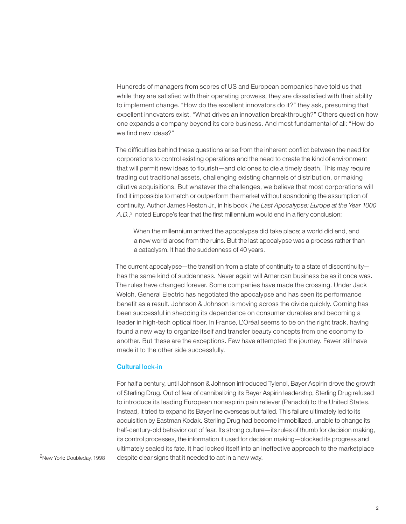Hundreds of managers from scores of US and European companies have told us that while they are satisfied with their operating prowess, they are dissatisfied with their ability to implement change. "How do the excellent innovators do it?" they ask, presuming that excellent innovators exist. "What drives an innovation breakthrough?" Others question how one expands a company beyond its core business. And most fundamental of all: "How do we find new ideas?"

The difficulties behind these questions arise from the inherent conflict between the need for corporations to control existing operations and the need to create the kind of environment that will permit new ideas to flourish—and old ones to die a timely death. This may require trading out traditional assets, challenging existing channels of distribution, or making dilutive acquisitions. But whatever the challenges, we believe that most corporations will find it impossible to match or outperform the market without abandoning the assumption of continuity. Author James Reston Jr., in his book *The Last Apocalypse: Europe at the Year 1000*  A.D.,<sup>2</sup> noted Europe's fear that the first millennium would end in a fiery conclusion:

When the millennium arrived the apocalypse did take place; a world did end, and a new world arose from the ruins. But the last apocalypse was a process rather than a cataclysm. It had the suddenness of 40 years.

The current apocalypse—the transition from a state of continuity to a state of discontinuity has the same kind of suddenness. Never again will American business be as it once was. The rules have changed forever. Some companies have made the crossing. Under Jack Welch, General Electric has negotiated the apocalypse and has seen its performance benefit as a result. Johnson & Johnson is moving across the divide quickly. Corning has been successful in shedding its dependence on consumer durables and becoming a leader in high-tech optical fiber. In France, L'Oréal seems to be on the right track, having found a new way to organize itself and transfer beauty concepts from one economy to another. But these are the exceptions. Few have attempted the journey. Fewer still have made it to the other side successfully.

#### Cultural lock-in

For half a century, until Johnson & Johnson introduced Tylenol, Bayer Aspirin drove the growth of Sterling Drug. Out of fear of cannibalizing its Bayer Aspirin leadership, Sterling Drug refused to introduce its leading European nonaspirin pain reliever (Panadol) to the United States. Instead, it tried to expand its Bayer line overseas but failed. This failure ultimately led to its acquisition by Eastman Kodak. Sterling Drug had become immobilized, unable to change its half-century-old behavior out of fear. Its strong culture—its rules of thumb for decision making, its control processes, the information it used for decision making—blocked its progress and ultimately sealed its fate. It had locked itself into an ineffective approach to the marketplace despite clear signs that it needed to act in a new way.

2New York: Doubleday, 1998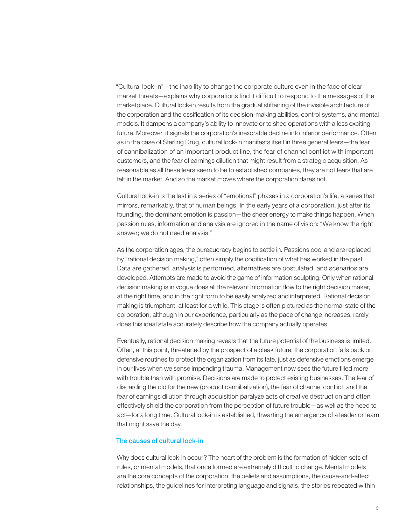"Cultural lock-in"—the inability to change the corporate culture even in the face of clear market threats—explains why corporations find it difficult to respond to the messages of the marketplace. Cultural lock-in results from the gradual stiffening of the invisible architecture of the corporation and the ossification of its decision-making abilities, control systems, and mental models. It dampens a company's ability to innovate or to shed operations with a less exciting future. Moreover, it signals the corporation's inexorable decline into inferior performance. Often, as in the case of Sterling Drug, cultural lock-in manifests itself in three general fears—the fear of cannibalization of an important product line, the fear of channel conflict with important customers, and the fear of earnings dilution that might result from a strategic acquisition. As reasonable as all these fears seem to be to established companies, they are not fears that are felt in the market. And so the market moves where the corporation dares not.

Cultural lock-in is the last in a series of "emotional" phases in a corporation's life, a series that mirrors, remarkably, that of human beings. In the early years of a corporation, just after its founding, the dominant emotion is passion—the sheer energy to make things happen. When passion rules, information and analysis are ignored in the name of vision: "We know the right answer; we do not need analysis."

As the corporation ages, the bureaucracy begins to settle in. Passions cool and are replaced by "rational decision making," often simply the codification of what has worked in the past. Data are gathered, analysis is performed, alternatives are postulated, and scenarios are developed. Attempts are made to avoid the game of information sculpting. Only when rational decision making is in vogue does all the relevant information flow to the right decision maker, at the right time, and in the right form to be easily analyzed and interpreted. Rational decision making is triumphant, at least for a while. This stage is often pictured as the normal state of the corporation, although in our experience, particularly as the pace of change increases, rarely does this ideal state accurately describe how the company actually operates.

Eventually, rational decision making reveals that the future potential of the business is limited. Often, at this point, threatened by the prospect of a bleak future, the corporation falls back on defensive routines to protect the organization from its fate, just as defensive emotions emerge in our lives when we sense impending trauma. Management now sees the future filled more with trouble than with promise. Decisions are made to protect existing businesses. The fear of discarding the old for the new (product cannibalization), the fear of channel conflict, and the fear of earnings dilution through acquisition paralyze acts of creative destruction and often effectively shield the corporation from the perception of future trouble—as well as the need to act—for a long time. Cultural lock-in is established, thwarting the emergence of a leader or team that might save the day.

#### The causes of cultural lock-in

Why does cultural lock-in occur? The heart of the problem is the formation of hidden sets of rules, or mental models, that once formed are extremely difficult to change. Mental models are the core concepts of the corporation, the beliefs and assumptions, the cause-and-effect relationships, the guidelines for interpreting language and signals, the stories repeated within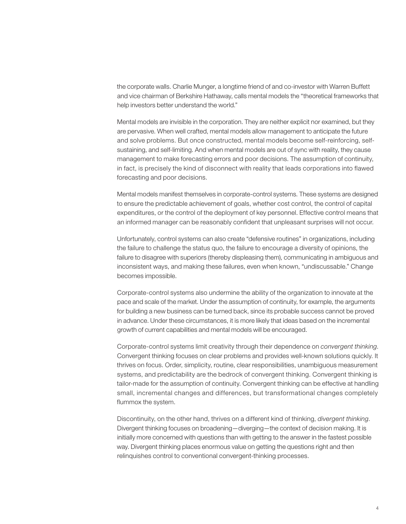the corporate walls. Charlie Munger, a longtime friend of and co-investor with Warren Buffett and vice chairman of Berkshire Hathaway, calls mental models the "theoretical frameworks that help investors better understand the world."

Mental models are invisible in the corporation. They are neither explicit nor examined, but they are pervasive. When well crafted, mental models allow management to anticipate the future and solve problems. But once constructed, mental models become self-reinforcing, selfsustaining, and self-limiting. And when mental models are out of sync with reality, they cause management to make forecasting errors and poor decisions. The assumption of continuity, in fact, is precisely the kind of disconnect with reality that leads corporations into flawed forecasting and poor decisions.

Mental models manifest themselves in corporate-control systems. These systems are designed to ensure the predictable achievement of goals, whether cost control, the control of capital expenditures, or the control of the deployment of key personnel. Effective control means that an informed manager can be reasonably confident that unpleasant surprises will not occur.

Unfortunately, control systems can also create "defensive routines" in organizations, including the failure to challenge the status quo, the failure to encourage a diversity of opinions, the failure to disagree with superiors (thereby displeasing them), communicating in ambiguous and inconsistent ways, and making these failures, even when known, "undiscussable." Change becomes impossible.

Corporate-control systems also undermine the ability of the organization to innovate at the pace and scale of the market. Under the assumption of continuity, for example, the arguments for building a new business can be turned back, since its probable success cannot be proved in advance. Under these circumstances, it is more likely that ideas based on the incremental growth of current capabilities and mental models will be encouraged.

Corporate-control systems limit creativity through their dependence on *convergent thinking*. Convergent thinking focuses on clear problems and provides well-known solutions quickly. It thrives on focus. Order, simplicity, routine, clear responsibilities, unambiguous measurement systems, and predictability are the bedrock of convergent thinking. Convergent thinking is tailor-made for the assumption of continuity. Convergent thinking can be effective at handling small, incremental changes and differences, but transformational changes completely flummox the system.

Discontinuity, on the other hand, thrives on a different kind of thinking, *divergent thinking*. Divergent thinking focuses on broadening—diverging—the context of decision making. It is initially more concerned with questions than with getting to the answer in the fastest possible way. Divergent thinking places enormous value on getting the questions right and then relinquishes control to conventional convergent-thinking processes.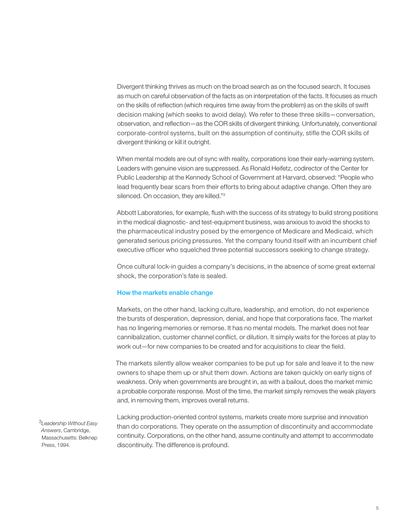Divergent thinking thrives as much on the broad search as on the focused search. It focuses as much on careful observation of the facts as on interpretation of the facts. It focuses as much on the skills of reflection (which requires time away from the problem) as on the skills of swift decision making (which seeks to avoid delay). We refer to these three skills—conversation, observation, and reflection—as the COR skills of divergent thinking. Unfortunately, conventional corporate-control systems, built on the assumption of continuity, stifle the COR skills of divergent thinking or kill it outright.

When mental models are out of sync with reality, corporations lose their early-warning system. Leaders with genuine vision are suppressed. As Ronald Heifetz, codirector of the Center for Public Leadership at the Kennedy School of Government at Harvard, observed: "People who lead frequently bear scars from their efforts to bring about adaptive change. Often they are silenced. On occasion, they are killed."<sup>3</sup>

Abbott Laboratories, for example, flush with the success of its strategy to build strong positions in the medical diagnostic- and test-equipment business, was anxious to avoid the shocks to the pharmaceutical industry posed by the emergence of Medicare and Medicaid, which generated serious pricing pressures. Yet the company found itself with an incumbent chief executive officer who squelched three potential successors seeking to change strategy.

Once cultural lock-in guides a company's decisions, in the absence of some great external shock, the corporation's fate is sealed.

#### How the markets enable change

Markets, on the other hand, lacking culture, leadership, and emotion, do not experience the bursts of desperation, depression, denial, and hope that corporations face. The market has no lingering memories or remorse. It has no mental models. The market does not fear cannibalization, customer channel conflict, or dilution. It simply waits for the forces at play to work out—for new companies to be created and for acquisitions to clear the field.

The markets silently allow weaker companies to be put up for sale and leave it to the new owners to shape them up or shut them down. Actions are taken quickly on early signs of weakness. Only when governments are brought in, as with a bailout, does the market mimic a probable corporate response. Most of the time, the market simply removes the weak players and, in removing them, improves overall returns.

<sup>3</sup>*Leadership Without Easy Answers*, Cambridge, Massachusetts: Belknap Press, 1994.

Lacking production-oriented control systems, markets create more surprise and innovation than do corporations. They operate on the assumption of discontinuity and accommodate continuity. Corporations, on the other hand, assume continuity and attempt to accommodate discontinuity. The difference is profound.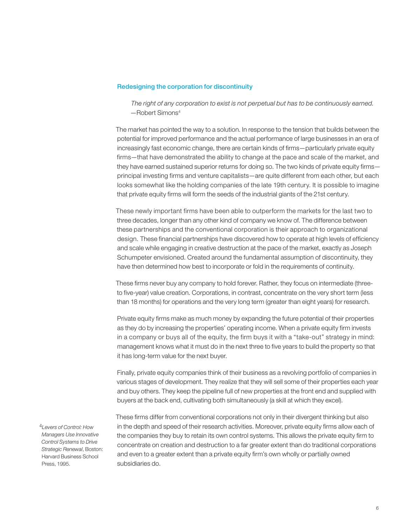### Redesigning the corporation for discontinuity

*The right of any corporation to exist is not perpetual but has to be continuously earned.* —Robert Simons4

The market has pointed the way to a solution. In response to the tension that builds between the potential for improved performance and the actual performance of large businesses in an era of increasingly fast economic change, there are certain kinds of firms—particularly private equity firms—that have demonstrated the ability to change at the pace and scale of the market, and they have earned sustained superior returns for doing so. The two kinds of private equity firms principal investing firms and venture capitalists—are quite different from each other, but each looks somewhat like the holding companies of the late 19th century. It is possible to imagine that private equity firms will form the seeds of the industrial giants of the 21st century.

These newly important firms have been able to outperform the markets for the last two to three decades, longer than any other kind of company we know of. The difference between these partnerships and the conventional corporation is their approach to organizational design. These financial partnerships have discovered how to operate at high levels of efficiency and scale while engaging in creative destruction at the pace of the market, exactly as Joseph Schumpeter envisioned. Created around the fundamental assumption of discontinuity, they have then determined how best to incorporate or fold in the requirements of continuity.

These firms never buy any company to hold forever. Rather, they focus on intermediate (threeto five-year) value creation. Corporations, in contrast, concentrate on the very short term (less than 18 months) for operations and the very long term (greater than eight years) for research.

Private equity firms make as much money by expanding the future potential of their properties as they do by increasing the properties' operating income. When a private equity firm invests in a company or buys all of the equity, the firm buys it with a "take-out" strategy in mind: management knows what it must do in the next three to five years to build the property so that it has long-term value for the next buyer.

Finally, private equity companies think of their business as a revolving portfolio of companies in various stages of development. They realize that they will sell some of their properties each year and buy others. They keep the pipeline full of new properties at the front end and supplied with buyers at the back end, cultivating both simultaneously (a skill at which they excel).

<sup>4</sup>*Levers of Control: How Managers Use Innovative Control Systems to Drive Strategic Renewal*, Boston: Harvard Business School Press, 1995.

These firms differ from conventional corporations not only in their divergent thinking but also in the depth and speed of their research activities. Moreover, private equity firms allow each of the companies they buy to retain its own control systems. This allows the private equity firm to concentrate on creation and destruction to a far greater extent than do traditional corporations and even to a greater extent than a private equity firm's own wholly or partially owned subsidiaries do.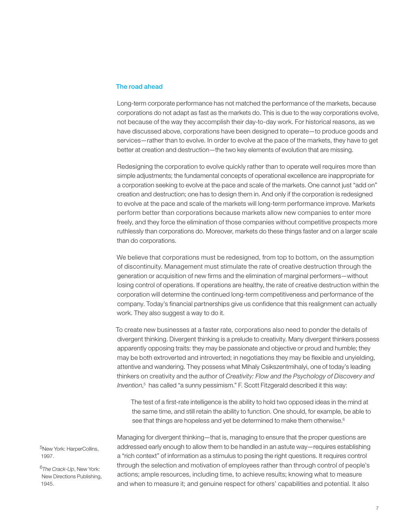#### The road ahead

Long-term corporate performance has not matched the performance of the markets, because corporations do not adapt as fast as the markets do. This is due to the way corporations evolve, not because of the way they accomplish their day-to-day work. For historical reasons, as we have discussed above, corporations have been designed to operate—to produce goods and services—rather than to evolve. In order to evolve at the pace of the markets, they have to get better at creation and destruction—the two key elements of evolution that are missing.

Redesigning the corporation to evolve quickly rather than to operate well requires more than simple adjustments; the fundamental concepts of operational excellence are inappropriate for a corporation seeking to evolve at the pace and scale of the markets. One cannot just "add on" creation and destruction; one has to design them in. And only if the corporation is redesigned to evolve at the pace and scale of the markets will long-term performance improve. Markets perform better than corporations because markets allow new companies to enter more freely, and they force the elimination of those companies without competitive prospects more ruthlessly than corporations do. Moreover, markets do these things faster and on a larger scale than do corporations.

We believe that corporations must be redesigned, from top to bottom, on the assumption of discontinuity. Management must stimulate the rate of creative destruction through the generation or acquisition of new firms and the elimination of marginal performers—without losing control of operations. If operations are healthy, the rate of creative destruction within the corporation will determine the continued long-term competitiveness and performance of the company. Today's financial partnerships give us confidence that this realignment can actually work. They also suggest a way to do it.

To create new businesses at a faster rate, corporations also need to ponder the details of divergent thinking. Divergent thinking is a prelude to creativity. Many divergent thinkers possess apparently opposing traits: they may be passionate and objective or proud and humble; they may be both extroverted and introverted; in negotiations they may be flexible and unyielding, attentive and wandering. They possess what Mihaly Csikszentmihalyi, one of today's leading thinkers on creativity and the author of *Creativity: Flow and the Psychology of Discovery and*  Invention,<sup>5</sup> has called "a sunny pessimism." F. Scott Fitzgerald described it this way:

The test of a first-rate intelligence is the ability to hold two opposed ideas in the mind at the same time, and still retain the ability to function. One should, for example, be able to see that things are hopeless and yet be determined to make them otherwise.<sup>6</sup>

Managing for divergent thinking—that is, managing to ensure that the proper questions are addressed early enough to allow them to be handled in an astute way—requires establishing a "rich context" of information as a stimulus to posing the right questions. It requires control through the selection and motivation of employees rather than through control of people's actions; ample resources, including time, to achieve results; knowing what to measure and when to measure it; and genuine respect for others' capabilities and potential. It also

5New York: HarperCollins, 1997.

<sup>6</sup>*The Crack-Up*, New York: New Directions Publishing, 1945.